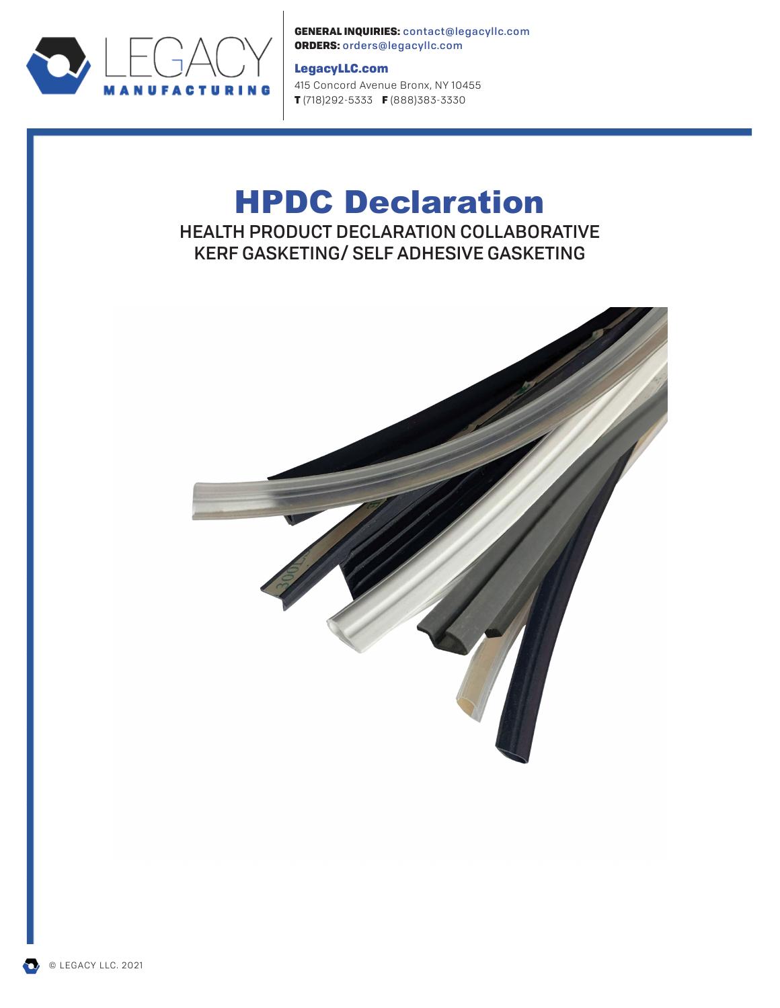

GENERAL INQUIRIES: contact@legacyllc.com ORDERS: orders@legacyllc.com

# LegacyLLC.com

415 Concord Avenue Bronx, NY 10455 T (718)292-5333 F (888)383-3330

# HPDC Declaration HEALTH PRODUCT DECLARATION COLLABORATIVE KERF GASKETING/ SELF ADHESIVE GASKETING



© LEGACY LLC. 2021

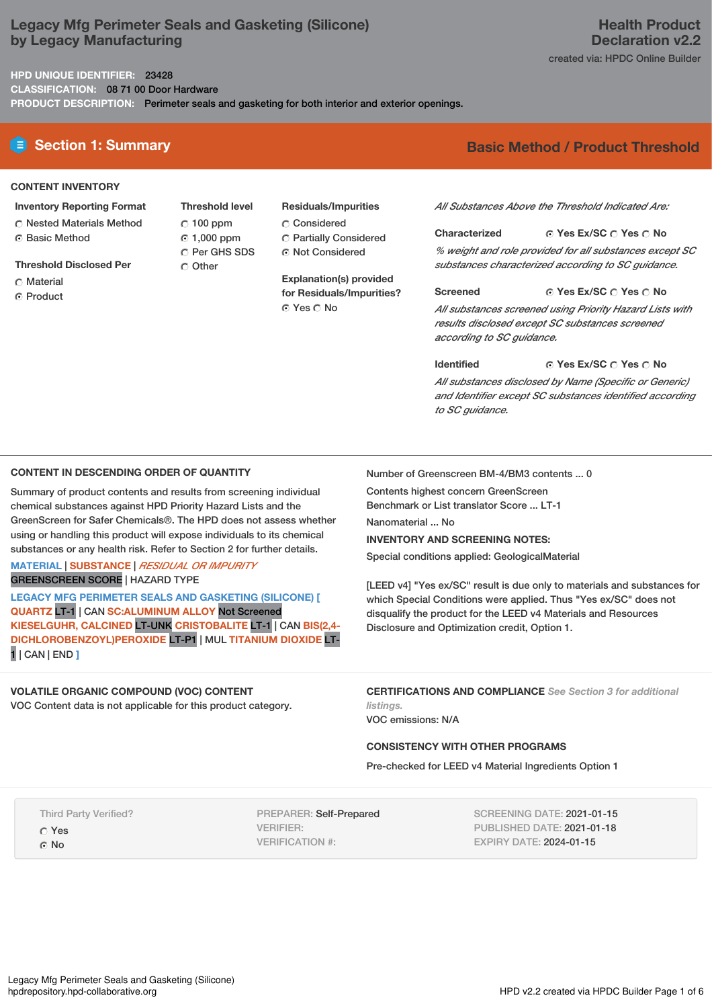# **Legacy Mfg Perimeter Seals and Gasketing (Silicone) by Legacy Manufacturing**

**HPD UNIQUE IDENTIFIER:** 23428

**CLASSIFICATION:** 08 71 00 Door Hardware

**PRODUCT DESCRIPTION:** Perimeter seals and gasketing for both interior and exterior openings.

# **CONTENT INVENTORY**

- **Inventory Reporting Format** Nested Materials Method Basic Method
- **Threshold Disclosed Per**
- **C** Material
- ⊙ Product
- **Threshold level**  $C$  100 ppm 1,000 ppm O Per GHS SDS C Other
- **Residuals/Impurities** Considered Partially Considered
- Not Considered

**Explanation(s) provided for Residuals/Impurities?** ⊙ Yes  $\bigcirc$  No

# **E** Section 1: Summary **Basic** Method **/** Product Threshold

*All Substances Above the Threshold Indicated Are:*

**Yes Ex/SC Yes No Characterized** *% weight and role provided for all substances except SC substances characterized according to SC guidance.*

**Yes Ex/SC Yes No Screened** *All substances screened using Priority Hazard Lists with results disclosed except SC substances screened according to SC guidance.*

**Yes Ex/SC Yes No Identified** *All substances disclosed by Name (Specific or Generic) and Identifier except SC substances identified according to SC guidance.*

# **CONTENT IN DESCENDING ORDER OF QUANTITY**

Summary of product contents and results from screening individual chemical substances against HPD Priority Hazard Lists and the GreenScreen for Safer Chemicals®. The HPD does not assess whether using or handling this product will expose individuals to its chemical substances or any health risk. Refer to Section 2 for further details.

**MATERIAL** | **SUBSTANCE** | *RESIDUAL OR IMPURITY* GREENSCREEN SCORE | HAZARD TYPE

**LEGACY MFG PERIMETER SEALS AND GASKETING (SILICONE) [ QUARTZ** LT-1 | CAN **SC:ALUMINUM ALLOY** Not Screened **KIESELGUHR, CALCINED** LT-UNK **CRISTOBALITE** LT-1 | CAN **BIS(2,4- DICHLOROBENZOYL)PEROXIDE** LT-P1 | MUL **TITANIUM DIOXIDE** LT-1 | CAN | END **]**

# **VOLATILE ORGANIC COMPOUND (VOC) CONTENT**

VOC Content data is not applicable for this product category.

Number of Greenscreen BM-4/BM3 contents ... 0

Contents highest concern GreenScreen

Benchmark or List translator Score ... LT-1

Nanomaterial No.

**INVENTORY AND SCREENING NOTES:**

Special conditions applied: GeologicalMaterial

[LEED v4] "Yes ex/SC" result is due only to materials and substances for which Special Conditions were applied. Thus "Yes ex/SC" does not disqualify the product for the LEED v4 Materials and Resources Disclosure and Optimization credit, Option 1.

**CERTIFICATIONS AND COMPLIANCE** *See Section 3 for additional listings.*

VOC emissions: N/A

# **CONSISTENCY WITH OTHER PROGRAMS**

Pre-checked for LEED v4 Material Ingredients Option 1

Third Party Verified?

Yes G<sub>No</sub>

PREPARER: Self-Prepared VERIFIER: VERIFICATION #:

SCREENING DATE: 2021-01-15 PUBLISHED DATE: 2021-01-18 EXPIRY DATE: 2024-01-15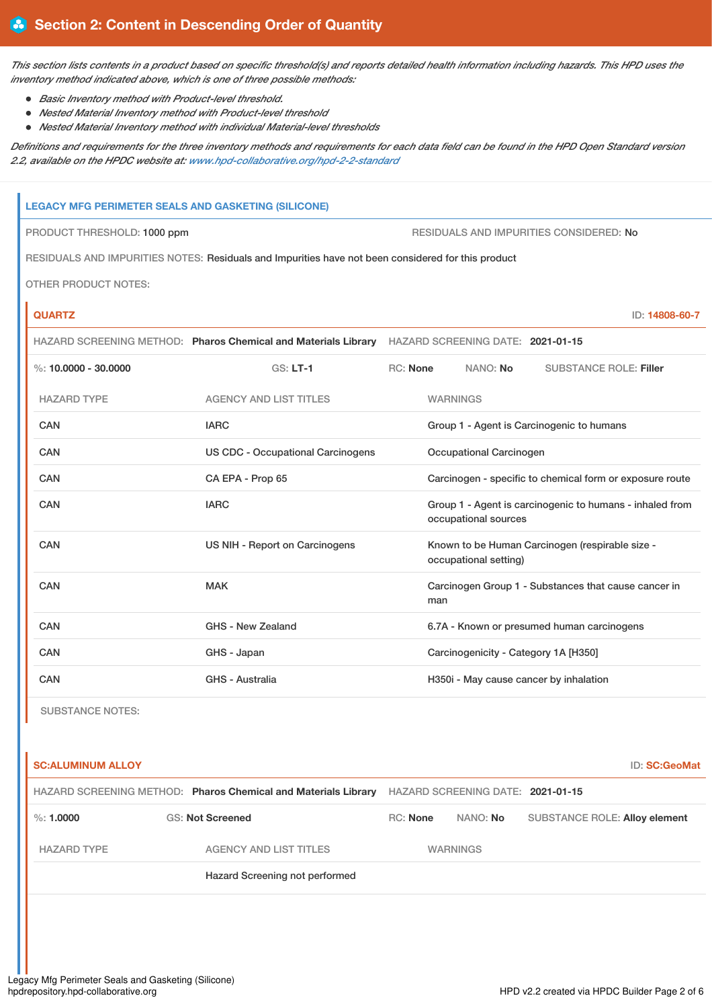This section lists contents in a product based on specific threshold(s) and reports detailed health information including hazards. This HPD uses the *inventory method indicated above, which is one of three possible methods:*

- *Basic Inventory method with Product-level threshold.*
- *Nested Material Inventory method with Product-level threshold*
- *Nested Material Inventory method with individual Material-level thresholds*

Definitions and requirements for the three inventory methods and requirements for each data field can be found in the HPD Open Standard version *2.2, available on the HPDC website at: [www.hpd-collaborative.org/hpd-2-2-standard](https://www.hpd-collaborative.org/hpd-2-2-standard)*

# **LEGACY MFG PERIMETER SEALS AND GASKETING (SILICONE)**

PRODUCT THRESHOLD: 1000 ppm  $\blacksquare$ 

RESIDUALS AND IMPURITIES NOTES: Residuals and Impurities have not been considered for this product

OTHER PRODUCT NOTES:

**QUARTZ** ID: **14808-60-7**

|                        |                                          | HAZARD SCREENING METHOD: Pharos Chemical and Materials Library HAZARD SCREENING DATE: 2021-01-15 |  |  |  |
|------------------------|------------------------------------------|--------------------------------------------------------------------------------------------------|--|--|--|
| %: $10.0000 - 30.0000$ | $GS: LT-1$                               | <b>RC: None</b><br>NANO: No<br><b>SUBSTANCE ROLE: Filler</b>                                     |  |  |  |
| <b>HAZARD TYPE</b>     | <b>AGENCY AND LIST TITLES</b>            | <b>WARNINGS</b>                                                                                  |  |  |  |
| <b>CAN</b>             | <b>IARC</b>                              | Group 1 - Agent is Carcinogenic to humans                                                        |  |  |  |
| <b>CAN</b>             | <b>US CDC - Occupational Carcinogens</b> | Occupational Carcinogen                                                                          |  |  |  |
| CAN                    | CA EPA - Prop 65                         | Carcinogen - specific to chemical form or exposure route                                         |  |  |  |
| CAN                    | <b>IARC</b>                              | Group 1 - Agent is carcinogenic to humans - inhaled from<br>occupational sources                 |  |  |  |
| CAN                    | US NIH - Report on Carcinogens           | Known to be Human Carcinogen (respirable size -<br>occupational setting)                         |  |  |  |
| CAN                    | <b>MAK</b>                               | Carcinogen Group 1 - Substances that cause cancer in<br>man                                      |  |  |  |
| CAN                    | GHS - New Zealand                        | 6.7A - Known or presumed human carcinogens                                                       |  |  |  |
| CAN                    | GHS - Japan                              | Carcinogenicity - Category 1A [H350]                                                             |  |  |  |
| CAN                    | <b>GHS - Australia</b>                   | H350i - May cause cancer by inhalation                                                           |  |  |  |

SUBSTANCE NOTES:

**SC:ALUMINUM ALLOY** ID: **SC:GeoMat** HAZARD SCREENING METHOD: **Pharos Chemical and Materials Library** HAZARD SCREENING DATE: **2021-01-15** %: **1.0000** GS: **Not Screened** RC: **None** NANO: **No** SUBSTANCE ROLE: **Alloy element** HAZARD TYPE AGENCY AND LIST TITLES WARNINGS Hazard Screening not performed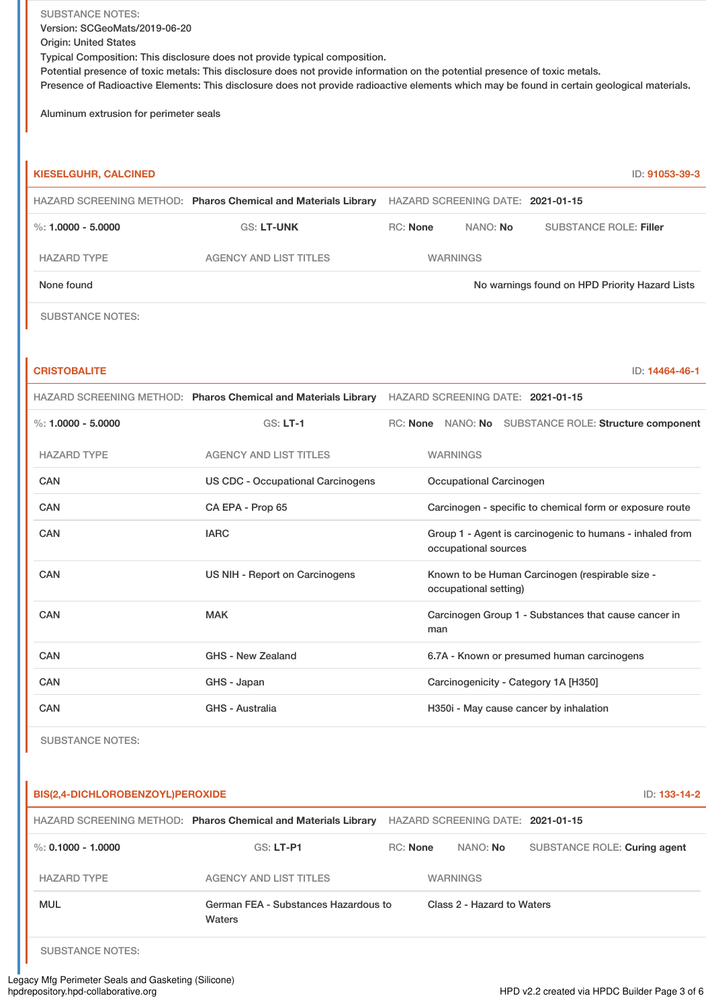SUBSTANCE NOTES: Version: SCGeoMats/2019-06-20 Origin: United States Typical Composition: This disclosure does not provide typical composition. Potential presence of toxic metals: This disclosure does not provide information on the potential presence of toxic metals. Presence of Radioactive Elements: This disclosure does not provide radioactive elements which may be found in certain geological materials.

Aluminum extrusion for perimeter seals

| <b>KIESELGUHR, CALCINED</b> |                                                                                                  |                                                                          |                                   |                                            | ID: 91053-39-3                                           |  |
|-----------------------------|--------------------------------------------------------------------------------------------------|--------------------------------------------------------------------------|-----------------------------------|--------------------------------------------|----------------------------------------------------------|--|
|                             | HAZARD SCREENING METHOD: Pharos Chemical and Materials Library                                   |                                                                          | HAZARD SCREENING DATE: 2021-01-15 |                                            |                                                          |  |
| %: $1.0000 - 5.0000$        | <b>GS: LT-UNK</b>                                                                                | <b>RC: None</b>                                                          | NANO: No                          |                                            | <b>SUBSTANCE ROLE: Filler</b>                            |  |
| <b>HAZARD TYPE</b>          | <b>AGENCY AND LIST TITLES</b>                                                                    |                                                                          | <b>WARNINGS</b>                   |                                            |                                                          |  |
| None found                  |                                                                                                  |                                                                          |                                   |                                            | No warnings found on HPD Priority Hazard Lists           |  |
| <b>SUBSTANCE NOTES:</b>     |                                                                                                  |                                                                          |                                   |                                            |                                                          |  |
|                             |                                                                                                  |                                                                          |                                   |                                            |                                                          |  |
| <b>CRISTOBALITE</b>         |                                                                                                  |                                                                          |                                   |                                            | ID: 14464-46-1                                           |  |
|                             | HAZARD SCREENING METHOD: Pharos Chemical and Materials Library HAZARD SCREENING DATE: 2021-01-15 |                                                                          |                                   |                                            |                                                          |  |
| %: $1.0000 - 5.0000$        | $GS: LT-1$                                                                                       |                                                                          |                                   |                                            | RC: None NANO: No SUBSTANCE ROLE: Structure component    |  |
| <b>HAZARD TYPE</b>          | <b>AGENCY AND LIST TITLES</b>                                                                    |                                                                          | <b>WARNINGS</b>                   |                                            |                                                          |  |
| <b>CAN</b>                  | <b>US CDC - Occupational Carcinogens</b>                                                         |                                                                          | Occupational Carcinogen           |                                            |                                                          |  |
| <b>CAN</b>                  | CA EPA - Prop 65                                                                                 |                                                                          |                                   |                                            | Carcinogen - specific to chemical form or exposure route |  |
| CAN                         | <b>IARC</b>                                                                                      |                                                                          | occupational sources              |                                            | Group 1 - Agent is carcinogenic to humans - inhaled from |  |
| <b>CAN</b>                  | US NIH - Report on Carcinogens                                                                   | Known to be Human Carcinogen (respirable size -<br>occupational setting) |                                   |                                            |                                                          |  |
| CAN                         | <b>MAK</b>                                                                                       | man                                                                      |                                   |                                            | Carcinogen Group 1 - Substances that cause cancer in     |  |
| CAN                         | GHS - New Zealand                                                                                |                                                                          |                                   | 6.7A - Known or presumed human carcinogens |                                                          |  |
| <b>CAN</b>                  | GHS - Japan                                                                                      |                                                                          |                                   | Carcinogenicity - Category 1A [H350]       |                                                          |  |
| <b>CAN</b>                  | GHS - Australia                                                                                  |                                                                          |                                   | H350i - May cause cancer by inhalation     |                                                          |  |
|                             |                                                                                                  |                                                                          |                                   |                                            |                                                          |  |

SUBSTANCE NOTES:

# **BIS(2,4-DICHLOROBENZOYL)PEROXIDE ID: 133-14-2**

|                        | HAZARD SCREENING METHOD: Pharos Chemical and Materials Library | HAZARD SCREENING DATE: 2021-01-15 |                            |                              |  |
|------------------------|----------------------------------------------------------------|-----------------------------------|----------------------------|------------------------------|--|
| $\%$ : 0.1000 - 1.0000 | GS: LT-P1                                                      | <b>RC:</b> None                   | NANO: No                   | SUBSTANCE ROLE: Curing agent |  |
| <b>HAZARD TYPE</b>     | <b>AGENCY AND LIST TITLES</b>                                  |                                   | <b>WARNINGS</b>            |                              |  |
| <b>MUL</b>             | German FEA - Substances Hazardous to<br>Waters                 |                                   | Class 2 - Hazard to Waters |                              |  |

SUBSTANCE NOTES: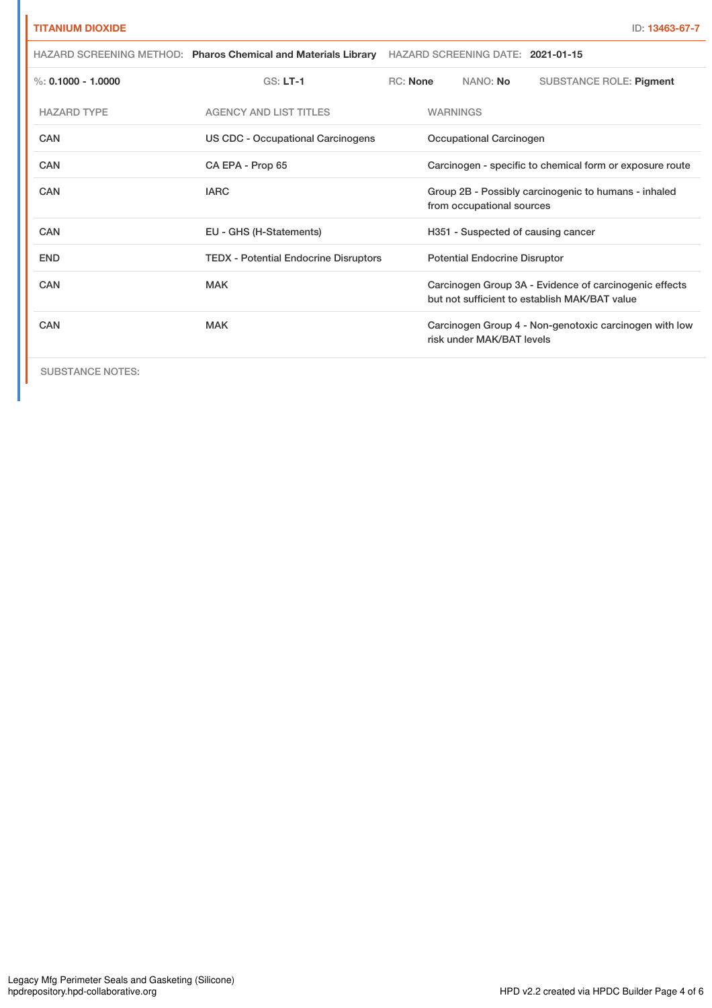| <b>TITANIUM DIOXIDE</b> |                                                                |                                                          |                                                                                                         |                                                                                   | ID: 13463-67-7                                         |  |
|-------------------------|----------------------------------------------------------------|----------------------------------------------------------|---------------------------------------------------------------------------------------------------------|-----------------------------------------------------------------------------------|--------------------------------------------------------|--|
|                         | HAZARD SCREENING METHOD: Pharos Chemical and Materials Library | HAZARD SCREENING DATE: 2021-01-15                        |                                                                                                         |                                                                                   |                                                        |  |
| %: $0.1000 - 1.0000$    | $GS: LT-1$                                                     | <b>RC:</b> None                                          |                                                                                                         | NANO: No                                                                          | <b>SUBSTANCE ROLE: Pigment</b>                         |  |
| <b>HAZARD TYPE</b>      | <b>AGENCY AND LIST TITLES</b>                                  |                                                          | <b>WARNINGS</b>                                                                                         |                                                                                   |                                                        |  |
| <b>CAN</b>              | US CDC - Occupational Carcinogens                              | Occupational Carcinogen                                  |                                                                                                         |                                                                                   |                                                        |  |
| <b>CAN</b>              | CA EPA - Prop 65                                               | Carcinogen - specific to chemical form or exposure route |                                                                                                         |                                                                                   |                                                        |  |
| CAN                     | <b>IARC</b>                                                    |                                                          |                                                                                                         | Group 2B - Possibly carcinogenic to humans - inhaled<br>from occupational sources |                                                        |  |
| CAN                     | EU - GHS (H-Statements)                                        |                                                          | H351 - Suspected of causing cancer                                                                      |                                                                                   |                                                        |  |
| <b>END</b>              | <b>TEDX</b> - Potential Endocrine Disruptors                   |                                                          | <b>Potential Endocrine Disruptor</b>                                                                    |                                                                                   |                                                        |  |
| CAN                     | <b>MAK</b>                                                     |                                                          | Carcinogen Group 3A - Evidence of carcinogenic effects<br>but not sufficient to establish MAK/BAT value |                                                                                   |                                                        |  |
| CAN                     | <b>MAK</b>                                                     |                                                          |                                                                                                         | risk under MAK/BAT levels                                                         | Carcinogen Group 4 - Non-genotoxic carcinogen with low |  |

SUBSTANCE NOTES: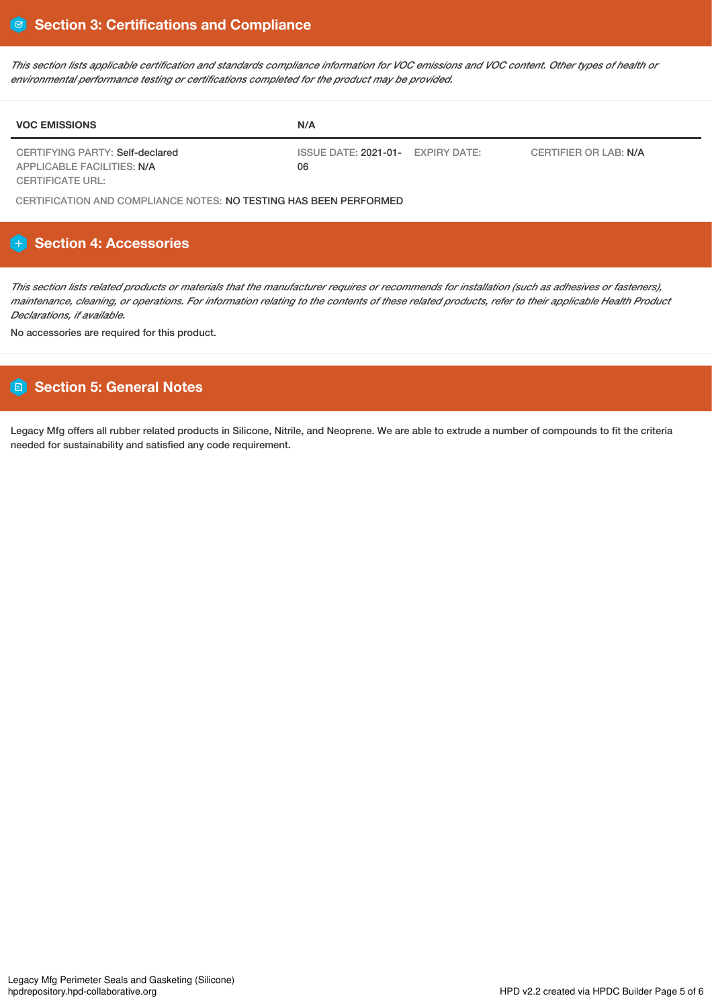This section lists applicable certification and standards compliance information for VOC emissions and VOC content. Other types of health or *environmental performance testing or certifications completed for the product may be provided.*

| <b>VOC EMISSIONS</b>            | N/A                                         |                       |
|---------------------------------|---------------------------------------------|-----------------------|
| CERTIFYING PARTY: Self-declared | ISSUE DATE: 2021-01-<br><b>EXPIRY DATE:</b> | CERTIFIER OR LAB: N/A |
| APPLICABLE FACILITIES: N/A      | 06                                          |                       |
| CERTIFICATE URL:                |                                             |                       |

CERTIFICATION AND COMPLIANCE NOTES: NO TESTING HAS BEEN PERFORMED

# **Section 4: Accessories**

This section lists related products or materials that the manufacturer requires or recommends for installation (such as adhesives or fasteners), maintenance, cleaning, or operations. For information relating to the contents of these related products, refer to their applicable Health Product *Declarations, if available.*

No accessories are required for this product.

# **Section 5: General Notes**

Legacy Mfg offers all rubber related products in Silicone, Nitrile, and Neoprene. We are able to extrude a number of compounds to fit the criteria needed for sustainability and satisfied any code requirement.